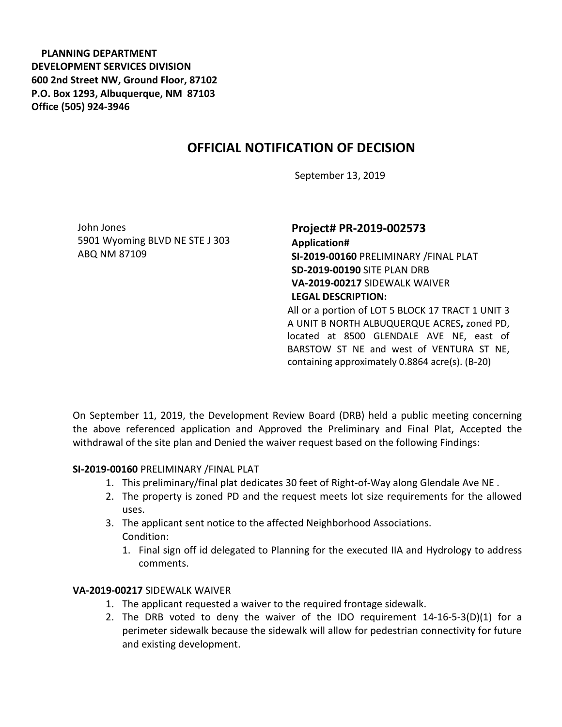**PLANNING DEPARTMENT DEVELOPMENT SERVICES DIVISION 600 2nd Street NW, Ground Floor, 87102 P.O. Box 1293, Albuquerque, NM 87103 Office (505) 924-3946** 

# **OFFICIAL NOTIFICATION OF DECISION**

September 13, 2019

John Jones 5901 Wyoming BLVD NE STE J 303 ABQ NM 87109

## **Project# PR-2019-002573 Application# SI-2019-00160** PRELIMINARY /FINAL PLAT **SD-2019-00190** SITE PLAN DRB **VA-2019-00217** SIDEWALK WAIVER **LEGAL DESCRIPTION:** All or a portion of LOT 5 BLOCK 17 TRACT 1 UNIT 3

A UNIT B NORTH ALBUQUERQUE ACRES**,** zoned PD, located at 8500 GLENDALE AVE NE, east of BARSTOW ST NE and west of VENTURA ST NE, containing approximately 0.8864 acre(s). (B-20)

On September 11, 2019, the Development Review Board (DRB) held a public meeting concerning the above referenced application and Approved the Preliminary and Final Plat, Accepted the withdrawal of the site plan and Denied the waiver request based on the following Findings:

#### **SI-2019-00160** PRELIMINARY /FINAL PLAT

- 1. This preliminary/final plat dedicates 30 feet of Right-of-Way along Glendale Ave NE .
- 2. The property is zoned PD and the request meets lot size requirements for the allowed uses.
- 3. The applicant sent notice to the affected Neighborhood Associations. Condition:
	- 1. Final sign off id delegated to Planning for the executed IIA and Hydrology to address comments.

### **VA-2019-00217** SIDEWALK WAIVER

- 1. The applicant requested a waiver to the required frontage sidewalk.
- 2. The DRB voted to deny the waiver of the IDO requirement 14-16-5-3(D)(1) for a perimeter sidewalk because the sidewalk will allow for pedestrian connectivity for future and existing development.